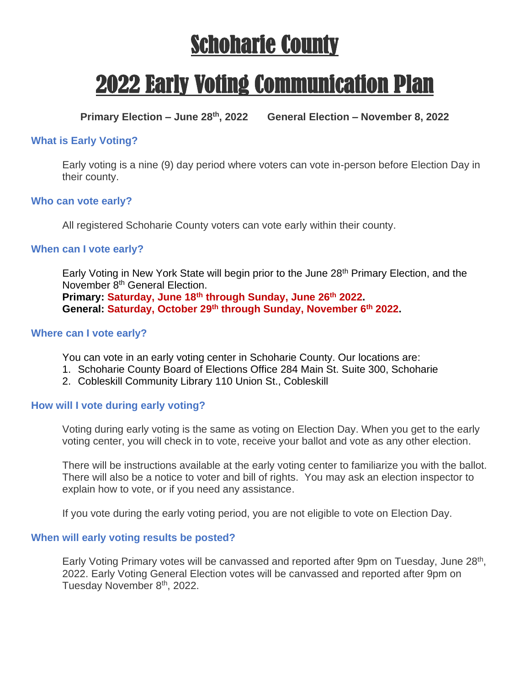# Schoharie County

# 2022 Early Voting Communication Plan

**Primary Election – June 28th, 2022 General Election – November 8, 2022**

#### **What is Early Voting?**

Early voting is a nine (9) day period where voters can vote in-person before Election Day in their county.

#### **Who can vote early?**

All registered Schoharie County voters can vote early within their county.

#### **When can I vote early?**

Early Voting in New York State will begin prior to the June 28<sup>th</sup> Primary Election, and the November 8<sup>th</sup> General Election. **Primary: Saturday, June 18th through Sunday, June 26th 2022. General: Saturday, October 29th through Sunday, November 6th 2022.**

#### **Where can I vote early?**

You can vote in an early voting center in Schoharie County. Our locations are:

- 1. Schoharie County Board of Elections Office 284 Main St. Suite 300, Schoharie
- 2. Cobleskill Community Library 110 Union St., Cobleskill

#### **How will I vote during early voting?**

Voting during early voting is the same as voting on Election Day. When you get to the early voting center, you will check in to vote, receive your ballot and vote as any other election.

There will be instructions available at the early voting center to familiarize you with the ballot. There will also be a notice to voter and bill of rights. You may ask an election inspector to explain how to vote, or if you need any assistance.

If you vote during the early voting period, you are not eligible to vote on Election Day.

#### **When will early voting results be posted?**

Early Voting Primary votes will be canvassed and reported after 9pm on Tuesday, June 28<sup>th</sup>, 2022. Early Voting General Election votes will be canvassed and reported after 9pm on Tuesday November 8th, 2022.